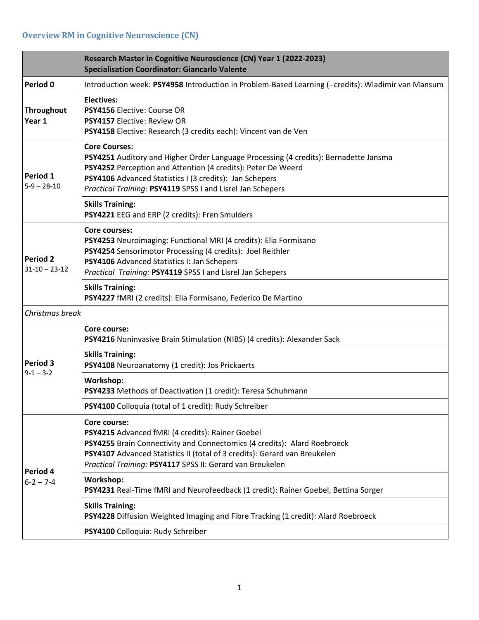## **Overview RM in Cognitive Neuroscience (CN)**

|                                        | Research Master in Cognitive Neuroscience (CN) Year 1 (2022-2023)<br><b>Specialisation Coordinator: Giancarlo Valente</b>                                                                                                                                                                             |
|----------------------------------------|-------------------------------------------------------------------------------------------------------------------------------------------------------------------------------------------------------------------------------------------------------------------------------------------------------|
| Period 0                               | Introduction week: PSY4958 Introduction in Problem-Based Learning (- credits): Wladimir van Mansum                                                                                                                                                                                                    |
| <b>Throughout</b><br>Year 1            | <b>Electives:</b><br><b>PSY4156 Elective: Course OR</b><br>PSY4157 Elective: Review OR<br>PSY4158 Elective: Research (3 credits each): Vincent van de Ven                                                                                                                                             |
| Period 1<br>$5-9 - 28-10$              | <b>Core Courses:</b><br>PSY4251 Auditory and Higher Order Language Processing (4 credits): Bernadette Jansma<br>PSY4252 Perception and Attention (4 credits): Peter De Weerd<br>PSY4106 Advanced Statistics I (3 credits): Jan Schepers<br>Practical Training: PSY4119 SPSS I and Lisrel Jan Schepers |
|                                        | <b>Skills Training:</b><br>PSY4221 EEG and ERP (2 credits): Fren Smulders                                                                                                                                                                                                                             |
| <b>Period 2</b><br>$31 - 10 - 23 - 12$ | Core courses:<br>PSY4253 Neuroimaging: Functional MRI (4 credits): Elia Formisano<br>PSY4254 Sensorimotor Processing (4 credits): Joel Reithler<br>PSY4106 Advanced Statistics I: Jan Schepers<br>Practical Training: PSY4119 SPSS I and Lisrel Jan Schepers                                          |
|                                        | <b>Skills Training:</b><br>PSY4227 fMRI (2 credits): Elia Formisano, Federico De Martino                                                                                                                                                                                                              |
| Christmas break                        |                                                                                                                                                                                                                                                                                                       |
|                                        | Core course:<br>PSY4216 Noninvasive Brain Stimulation (NIBS) (4 credits): Alexander Sack                                                                                                                                                                                                              |
| Period 3                               | <b>Skills Training:</b><br>PSY4108 Neuroanatomy (1 credit): Jos Prickaerts                                                                                                                                                                                                                            |
| $9 - 1 - 3 - 2$                        | Workshop:<br>PSY4233 Methods of Deactivation (1 credit): Teresa Schuhmann                                                                                                                                                                                                                             |
|                                        | PSY4100 Colloquia (total of 1 credit): Rudy Schreiber                                                                                                                                                                                                                                                 |
| Period 4<br>$6 - 2 - 7 - 4$            | Core course:<br>PSY4215 Advanced fMRI (4 credits): Rainer Goebel<br>PSY4255 Brain Connectivity and Connectomics (4 credits): Alard Roebroeck<br>PSY4107 Advanced Statistics II (total of 3 credits): Gerard van Breukelen<br>Practical Training: PSY4117 SPSS II: Gerard van Breukelen                |
|                                        | Workshop:<br>PSY4231 Real-Time fMRI and Neurofeedback (1 credit): Rainer Goebel, Bettina Sorger                                                                                                                                                                                                       |
|                                        | <b>Skills Training:</b><br>PSY4228 Diffusion Weighted Imaging and Fibre Tracking (1 credit): Alard Roebroeck                                                                                                                                                                                          |
|                                        | PSY4100 Colloquia: Rudy Schreiber                                                                                                                                                                                                                                                                     |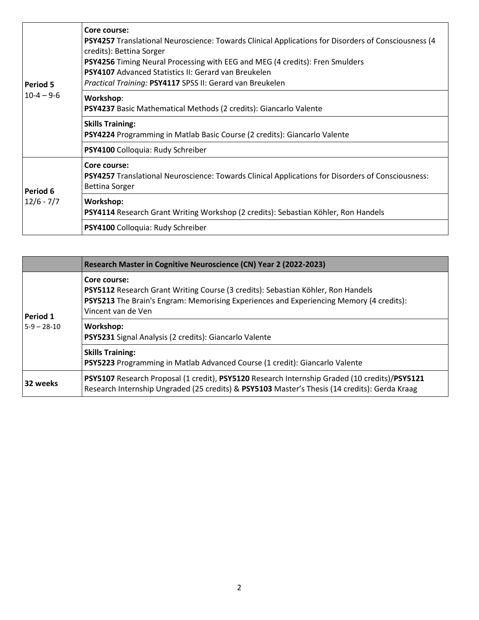| <b>Period 5</b><br>$10-4 - 9-6$ | Core course:<br>PSY4257 Translational Neuroscience: Towards Clinical Applications for Disorders of Consciousness (4<br>credits): Bettina Sorger<br>PSY4256 Timing Neural Processing with EEG and MEG (4 credits): Fren Smulders<br><b>PSY4107</b> Advanced Statistics II: Gerard van Breukelen<br>Practical Training: PSY4117 SPSS II: Gerard van Breukelen |
|---------------------------------|-------------------------------------------------------------------------------------------------------------------------------------------------------------------------------------------------------------------------------------------------------------------------------------------------------------------------------------------------------------|
|                                 | Workshop:<br><b>PSY4237</b> Basic Mathematical Methods (2 credits): Giancarlo Valente                                                                                                                                                                                                                                                                       |
|                                 | <b>Skills Training:</b><br>PSY4224 Programming in Matlab Basic Course (2 credits): Giancarlo Valente                                                                                                                                                                                                                                                        |
|                                 | PSY4100 Colloquia: Rudy Schreiber                                                                                                                                                                                                                                                                                                                           |
| Period 6<br>$12/6 - 7/7$        | Core course:<br>PSY4257 Translational Neuroscience: Towards Clinical Applications for Disorders of Consciousness:<br><b>Bettina Sorger</b>                                                                                                                                                                                                                  |
|                                 | <b>Workshop:</b><br>PSY4114 Research Grant Writing Workshop (2 credits): Sebastian Köhler, Ron Handels                                                                                                                                                                                                                                                      |
|                                 | PSY4100 Colloquia: Rudy Schreiber                                                                                                                                                                                                                                                                                                                           |

|                           | Research Master in Cognitive Neuroscience (CN) Year 2 (2022-2023)                                                                                                                                                 |
|---------------------------|-------------------------------------------------------------------------------------------------------------------------------------------------------------------------------------------------------------------|
| Period 1<br>$5-9 - 28-10$ | Core course:<br>PSY5112 Research Grant Writing Course (3 credits): Sebastian Köhler, Ron Handels<br>PSY5213 The Brain's Engram: Memorising Experiences and Experiencing Memory (4 credits):<br>Vincent van de Ven |
|                           | Workshop:<br>PSY5231 Signal Analysis (2 credits): Giancarlo Valente                                                                                                                                               |
|                           | <b>Skills Training:</b><br>PSY5223 Programming in Matlab Advanced Course (1 credit): Giancarlo Valente                                                                                                            |
| 32 weeks                  | PSY5107 Research Proposal (1 credit), PSY5120 Research Internship Graded (10 credits)/PSY5121<br>Research Internship Ungraded (25 credits) & PSY5103 Master's Thesis (14 credits): Gerda Kraag                    |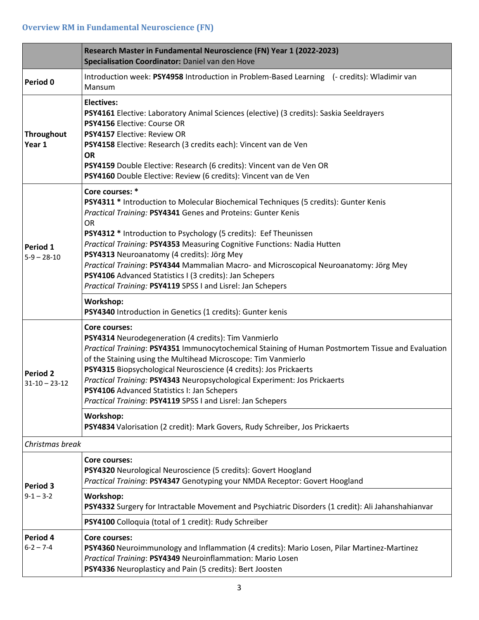## **Overview RM in Fundamental Neuroscience (FN)**

|                                 | Research Master in Fundamental Neuroscience (FN) Year 1 (2022-2023)<br>Specialisation Coordinator: Daniel van den Hove                                                                                                                                                                                                                                                                                                                                                                                                                                                                               |  |
|---------------------------------|------------------------------------------------------------------------------------------------------------------------------------------------------------------------------------------------------------------------------------------------------------------------------------------------------------------------------------------------------------------------------------------------------------------------------------------------------------------------------------------------------------------------------------------------------------------------------------------------------|--|
| Period 0                        | Introduction week: PSY4958 Introduction in Problem-Based Learning (- credits): Wladimir van<br>Mansum                                                                                                                                                                                                                                                                                                                                                                                                                                                                                                |  |
| Throughout<br>Year 1            | <b>Electives:</b><br>PSY4161 Elective: Laboratory Animal Sciences (elective) (3 credits): Saskia Seeldrayers<br>PSY4156 Elective: Course OR<br><b>PSY4157 Elective: Review OR</b><br>PSY4158 Elective: Research (3 credits each): Vincent van de Ven<br><b>OR</b><br>PSY4159 Double Elective: Research (6 credits): Vincent van de Ven OR<br>PSY4160 Double Elective: Review (6 credits): Vincent van de Ven                                                                                                                                                                                         |  |
| Period 1<br>$5-9 - 28-10$       | Core courses: *<br>PSY4311 * Introduction to Molecular Biochemical Techniques (5 credits): Gunter Kenis<br>Practical Training: PSY4341 Genes and Proteins: Gunter Kenis<br><b>OR</b><br>PSY4312 * Introduction to Psychology (5 credits): Eef Theunissen<br>Practical Training: PSY4353 Measuring Cognitive Functions: Nadia Hutten<br>PSY4313 Neuroanatomy (4 credits): Jörg Mey<br>Practical Training: PSY4344 Mammalian Macro- and Microscopical Neuroanatomy: Jörg Mey<br>PSY4106 Advanced Statistics I (3 credits): Jan Schepers<br>Practical Training: PSY4119 SPSS I and Lisrel: Jan Schepers |  |
|                                 | Workshop:<br>PSY4340 Introduction in Genetics (1 credits): Gunter kenis                                                                                                                                                                                                                                                                                                                                                                                                                                                                                                                              |  |
| Period 2<br>$31 - 10 - 23 - 12$ | <b>Core courses:</b><br>PSY4314 Neurodegeneration (4 credits): Tim Vanmierlo<br>Practical Training: PSY4351 Immunocytochemical Staining of Human Postmortem Tissue and Evaluation<br>of the Staining using the Multihead Microscope: Tim Vanmierlo<br>PSY4315 Biopsychological Neuroscience (4 credits): Jos Prickaerts<br>Practical Training: PSY4343 Neuropsychological Experiment: Jos Prickaerts<br>PSY4106 Advanced Statistics I: Jan Schepers<br>Practical Training: PSY4119 SPSS I and Lisrel: Jan Schepers                                                                                   |  |
|                                 | Workshop:<br>PSY4834 Valorisation (2 credit): Mark Govers, Rudy Schreiber, Jos Prickaerts                                                                                                                                                                                                                                                                                                                                                                                                                                                                                                            |  |
| Christmas break                 |                                                                                                                                                                                                                                                                                                                                                                                                                                                                                                                                                                                                      |  |
| Period 3<br>$9 - 1 - 3 - 2$     | Core courses:<br>PSY4320 Neurological Neuroscience (5 credits): Govert Hoogland<br>Practical Training: PSY4347 Genotyping your NMDA Receptor: Govert Hoogland                                                                                                                                                                                                                                                                                                                                                                                                                                        |  |
|                                 | Workshop:<br>PSY4332 Surgery for Intractable Movement and Psychiatric Disorders (1 credit): Ali Jahanshahianvar                                                                                                                                                                                                                                                                                                                                                                                                                                                                                      |  |
|                                 | PSY4100 Colloquia (total of 1 credit): Rudy Schreiber                                                                                                                                                                                                                                                                                                                                                                                                                                                                                                                                                |  |
| Period 4<br>$6 - 2 - 7 - 4$     | <b>Core courses:</b><br>PSY4360 Neuroimmunology and Inflammation (4 credits): Mario Losen, Pilar Martinez-Martinez<br>Practical Training: PSY4349 Neuroinflammation: Mario Losen<br>PSY4336 Neuroplasticy and Pain (5 credits): Bert Joosten                                                                                                                                                                                                                                                                                                                                                         |  |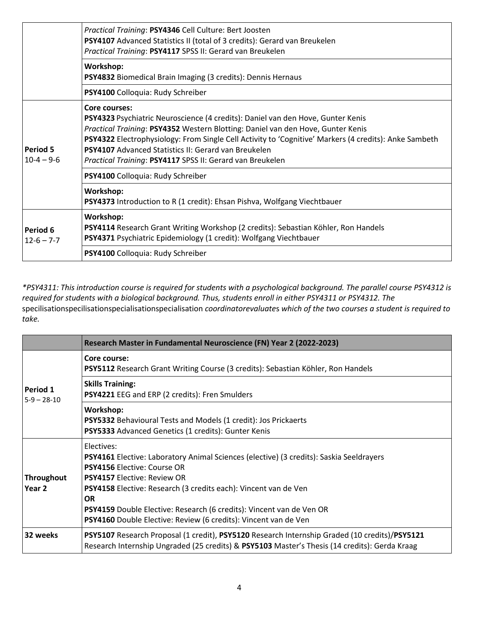|                                 | Practical Training: PSY4346 Cell Culture: Bert Joosten<br>PSY4107 Advanced Statistics II (total of 3 credits): Gerard van Breukelen<br>Practical Training: PSY4117 SPSS II: Gerard van Breukelen                                                                                                                                                                                                                         |
|---------------------------------|--------------------------------------------------------------------------------------------------------------------------------------------------------------------------------------------------------------------------------------------------------------------------------------------------------------------------------------------------------------------------------------------------------------------------|
|                                 | Workshop:<br>PSY4832 Biomedical Brain Imaging (3 credits): Dennis Hernaus                                                                                                                                                                                                                                                                                                                                                |
|                                 | PSY4100 Colloquia: Rudy Schreiber                                                                                                                                                                                                                                                                                                                                                                                        |
| <b>Period 5</b><br>$10-4 - 9-6$ | Core courses:<br>PSY4323 Psychiatric Neuroscience (4 credits): Daniel van den Hove, Gunter Kenis<br>Practical Training: PSY4352 Western Blotting: Daniel van den Hove, Gunter Kenis<br>PSY4322 Electrophysiology: From Single Cell Activity to 'Cognitive' Markers (4 credits): Anke Sambeth<br><b>PSY4107</b> Advanced Statistics II: Gerard van Breukelen<br>Practical Training: PSY4117 SPSS II: Gerard van Breukelen |
|                                 | PSY4100 Colloquia: Rudy Schreiber                                                                                                                                                                                                                                                                                                                                                                                        |
|                                 | Workshop:<br>PSY4373 Introduction to R (1 credit): Ehsan Pishva, Wolfgang Viechtbauer                                                                                                                                                                                                                                                                                                                                    |
| Period 6<br>$12 - 6 - 7 - 7$    | Workshop:<br>PSY4114 Research Grant Writing Workshop (2 credits): Sebastian Köhler, Ron Handels<br>PSY4371 Psychiatric Epidemiology (1 credit): Wolfgang Viechtbauer                                                                                                                                                                                                                                                     |
|                                 | PSY4100 Colloquia: Rudy Schreiber                                                                                                                                                                                                                                                                                                                                                                                        |

*\*PSY4311: This introduction course is required for students with a psychological background. The parallel course PSY4312 is required for students with a biological background. Thus, students enroll in either PSY4311 or PSY4312. The*  specilisationspecilisationspecialisationspecialisation *coordinatorevaluate*s *which of the two courses a student is required to take.*

|                             | Research Master in Fundamental Neuroscience (FN) Year 2 (2022-2023)                                                                                                                                                                                                                                                                                                                                          |
|-----------------------------|--------------------------------------------------------------------------------------------------------------------------------------------------------------------------------------------------------------------------------------------------------------------------------------------------------------------------------------------------------------------------------------------------------------|
| Period 1<br>$5-9 - 28-10$   | Core course:<br>PSY5112 Research Grant Writing Course (3 credits): Sebastian Köhler, Ron Handels                                                                                                                                                                                                                                                                                                             |
|                             | <b>Skills Training:</b><br>PSY4221 EEG and ERP (2 credits): Fren Smulders                                                                                                                                                                                                                                                                                                                                    |
|                             | Workshop:<br>PSY5332 Behavioural Tests and Models (1 credit): Jos Prickaerts<br>PSY5333 Advanced Genetics (1 credits): Gunter Kenis                                                                                                                                                                                                                                                                          |
| <b>Throughout</b><br>Year 2 | Electives:<br>PSY4161 Elective: Laboratory Animal Sciences (elective) (3 credits): Saskia Seeldrayers<br><b>PSY4156 Elective: Course OR</b><br><b>PSY4157 Elective: Review OR</b><br>PSY4158 Elective: Research (3 credits each): Vincent van de Ven<br><b>OR</b><br>PSY4159 Double Elective: Research (6 credits): Vincent van de Ven OR<br>PSY4160 Double Elective: Review (6 credits): Vincent van de Ven |
| 32 weeks                    | PSY5107 Research Proposal (1 credit), PSY5120 Research Internship Graded (10 credits)/PSY5121<br>Research Internship Ungraded (25 credits) & PSY5103 Master's Thesis (14 credits): Gerda Kraag                                                                                                                                                                                                               |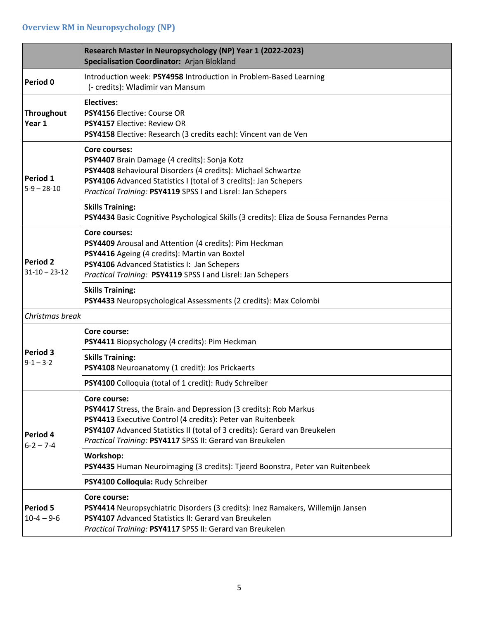|                                        | Research Master in Neuropsychology (NP) Year 1 (2022-2023)<br>Specialisation Coordinator: Arjan Blokland                                                                                                                                                                                   |
|----------------------------------------|--------------------------------------------------------------------------------------------------------------------------------------------------------------------------------------------------------------------------------------------------------------------------------------------|
| Period 0                               | Introduction week: PSY4958 Introduction in Problem-Based Learning<br>(- credits): Wladimir van Mansum                                                                                                                                                                                      |
| <b>Throughout</b><br>Year 1            | <b>Electives:</b><br>PSY4156 Elective: Course OR<br>PSY4157 Elective: Review OR<br>PSY4158 Elective: Research (3 credits each): Vincent van de Ven                                                                                                                                         |
| Period 1<br>$5-9 - 28-10$              | <b>Core courses:</b><br>PSY4407 Brain Damage (4 credits): Sonja Kotz<br>PSY4408 Behavioural Disorders (4 credits): Michael Schwartze<br>PSY4106 Advanced Statistics I (total of 3 credits): Jan Schepers<br>Practical Training: PSY4119 SPSS I and Lisrel: Jan Schepers                    |
|                                        | <b>Skills Training:</b><br>PSY4434 Basic Cognitive Psychological Skills (3 credits): Eliza de Sousa Fernandes Perna                                                                                                                                                                        |
| <b>Period 2</b><br>$31 - 10 - 23 - 12$ | <b>Core courses:</b><br>PSY4409 Arousal and Attention (4 credits): Pim Heckman<br>PSY4416 Ageing (4 credits): Martin van Boxtel<br>PSY4106 Advanced Statistics I: Jan Schepers<br>Practical Training: PSY4119 SPSS I and Lisrel: Jan Schepers                                              |
|                                        | <b>Skills Training:</b><br>PSY4433 Neuropsychological Assessments (2 credits): Max Colombi                                                                                                                                                                                                 |
| Christmas break                        |                                                                                                                                                                                                                                                                                            |
|                                        | <b>Core course:</b><br>PSY4411 Biopsychology (4 credits): Pim Heckman                                                                                                                                                                                                                      |
| Period 3<br>$9-1 - 3-2$                | <b>Skills Training:</b><br>PSY4108 Neuroanatomy (1 credit): Jos Prickaerts                                                                                                                                                                                                                 |
|                                        | PSY4100 Colloquia (total of 1 credit): Rudy Schreiber                                                                                                                                                                                                                                      |
| Period 4<br>$6 - 2 - 7 - 4$            | Core course:<br>PSY4417 Stress, the Brain, and Depression (3 credits): Rob Markus<br>PSY4413 Executive Control (4 credits): Peter van Ruitenbeek<br>PSY4107 Advanced Statistics II (total of 3 credits): Gerard van Breukelen<br>Practical Training: PSY4117 SPSS II: Gerard van Breukelen |
|                                        | Workshop:<br>PSY4435 Human Neuroimaging (3 credits): Tjeerd Boonstra, Peter van Ruitenbeek                                                                                                                                                                                                 |
|                                        | PSY4100 Colloquia: Rudy Schreiber                                                                                                                                                                                                                                                          |
| <b>Period 5</b><br>$10-4 - 9-6$        | Core course:<br>PSY4414 Neuropsychiatric Disorders (3 credits): Inez Ramakers, Willemijn Jansen<br>PSY4107 Advanced Statistics II: Gerard van Breukelen<br>Practical Training: PSY4117 SPSS II: Gerard van Breukelen                                                                       |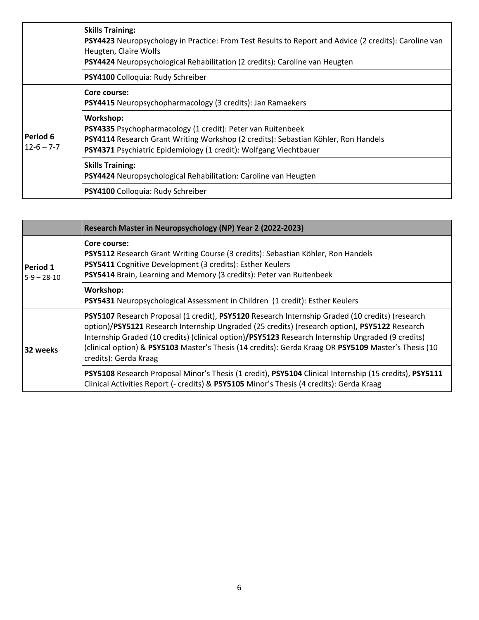|                                | <b>Skills Training:</b><br>PSY4423 Neuropsychology in Practice: From Test Results to Report and Advice (2 credits): Caroline van<br>Heugten, Claire Wolfs<br>PSY4424 Neuropsychological Rehabilitation (2 credits): Caroline van Heugten   |
|--------------------------------|--------------------------------------------------------------------------------------------------------------------------------------------------------------------------------------------------------------------------------------------|
|                                | PSY4100 Colloquia: Rudy Schreiber                                                                                                                                                                                                          |
| l Period 6<br>$12 - 6 - 7 - 7$ | Core course:<br><b>PSY4415</b> Neuropsychopharmacology (3 credits): Jan Ramaekers                                                                                                                                                          |
|                                | Workshop:<br><b>PSY4335</b> Psychopharmacology (1 credit): Peter van Ruitenbeek<br>PSY4114 Research Grant Writing Workshop (2 credits): Sebastian Köhler, Ron Handels<br>PSY4371 Psychiatric Epidemiology (1 credit): Wolfgang Viechtbauer |
|                                | <b>Skills Training:</b><br>PSY4424 Neuropsychological Rehabilitation: Caroline van Heugten                                                                                                                                                 |
|                                | PSY4100 Colloquia: Rudy Schreiber                                                                                                                                                                                                          |

|                           | Research Master in Neuropsychology (NP) Year 2 (2022-2023)                                                                                                                                                                                                                                                                                                                                                                             |
|---------------------------|----------------------------------------------------------------------------------------------------------------------------------------------------------------------------------------------------------------------------------------------------------------------------------------------------------------------------------------------------------------------------------------------------------------------------------------|
| Period 1<br>$5-9 - 28-10$ | Core course:<br>PSY5112 Research Grant Writing Course (3 credits): Sebastian Köhler, Ron Handels<br>PSY5411 Cognitive Development (3 credits): Esther Keulers<br>PSY5414 Brain, Learning and Memory (3 credits): Peter van Ruitenbeek                                                                                                                                                                                                  |
|                           | Workshop:<br>PSY5431 Neuropsychological Assessment in Children (1 credit): Esther Keulers                                                                                                                                                                                                                                                                                                                                              |
| 32 weeks                  | PSY5107 Research Proposal (1 credit), PSY5120 Research Internship Graded (10 credits) (research<br>option)/PSY5121 Research Internship Ungraded (25 credits) (research option), PSY5122 Research<br>Internship Graded (10 credits) (clinical option)/PSY5123 Research Internship Ungraded (9 credits)<br>(clinical option) & PSY5103 Master's Thesis (14 credits): Gerda Kraag OR PSY5109 Master's Thesis (10<br>credits): Gerda Kraag |
|                           | PSY5108 Research Proposal Minor's Thesis (1 credit), PSY5104 Clinical Internship (15 credits), PSY5111<br>Clinical Activities Report (- credits) & PSY5105 Minor's Thesis (4 credits): Gerda Kraag                                                                                                                                                                                                                                     |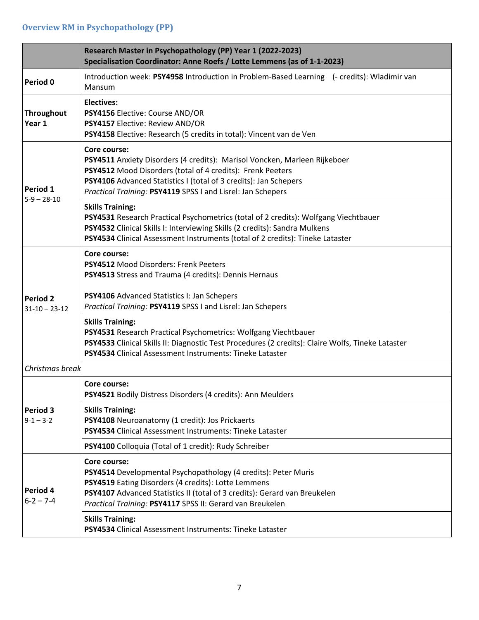|                                        | Research Master in Psychopathology (PP) Year 1 (2022-2023)<br>Specialisation Coordinator: Anne Roefs / Lotte Lemmens (as of 1-1-2023)                                                                                                                                                      |  |
|----------------------------------------|--------------------------------------------------------------------------------------------------------------------------------------------------------------------------------------------------------------------------------------------------------------------------------------------|--|
| Period 0                               | Introduction week: PSY4958 Introduction in Problem-Based Learning (- credits): Wladimir van<br>Mansum                                                                                                                                                                                      |  |
| <b>Throughout</b><br>Year 1            | <b>Electives:</b><br>PSY4156 Elective: Course AND/OR<br>PSY4157 Elective: Review AND/OR<br>PSY4158 Elective: Research (5 credits in total): Vincent van de Ven                                                                                                                             |  |
| Period 1<br>$5-9 - 28-10$              | Core course:<br>PSY4511 Anxiety Disorders (4 credits): Marisol Voncken, Marleen Rijkeboer<br>PSY4512 Mood Disorders (total of 4 credits): Frenk Peeters<br>PSY4106 Advanced Statistics I (total of 3 credits): Jan Schepers<br>Practical Training: PSY4119 SPSS I and Lisrel: Jan Schepers |  |
|                                        | <b>Skills Training:</b><br>PSY4531 Research Practical Psychometrics (total of 2 credits): Wolfgang Viechtbauer<br>PSY4532 Clinical Skills I: Interviewing Skills (2 credits): Sandra Mulkens<br>PSY4534 Clinical Assessment Instruments (total of 2 credits): Tineke Lataster              |  |
|                                        | Core course:<br><b>PSY4512 Mood Disorders: Frenk Peeters</b><br>PSY4513 Stress and Trauma (4 credits): Dennis Hernaus                                                                                                                                                                      |  |
| <b>Period 2</b><br>$31 - 10 - 23 - 12$ | PSY4106 Advanced Statistics I: Jan Schepers<br>Practical Training: PSY4119 SPSS I and Lisrel: Jan Schepers                                                                                                                                                                                 |  |
|                                        | <b>Skills Training:</b><br>PSY4531 Research Practical Psychometrics: Wolfgang Viechtbauer<br>PSY4533 Clinical Skills II: Diagnostic Test Procedures (2 credits): Claire Wolfs, Tineke Lataster<br>PSY4534 Clinical Assessment Instruments: Tineke Lataster                                 |  |
| Christmas break                        |                                                                                                                                                                                                                                                                                            |  |
|                                        | Core course:<br>PSY4521 Bodily Distress Disorders (4 credits): Ann Meulders                                                                                                                                                                                                                |  |
| Period 3<br>$9 - 1 - 3 - 2$            | <b>Skills Training:</b><br>PSY4108 Neuroanatomy (1 credit): Jos Prickaerts<br>PSY4534 Clinical Assessment Instruments: Tineke Lataster                                                                                                                                                     |  |
|                                        | PSY4100 Colloquia (Total of 1 credit): Rudy Schreiber                                                                                                                                                                                                                                      |  |
| Period 4<br>$6 - 2 - 7 - 4$            | Core course:<br>PSY4514 Developmental Psychopathology (4 credits): Peter Muris<br>PSY4519 Eating Disorders (4 credits): Lotte Lemmens<br>PSY4107 Advanced Statistics II (total of 3 credits): Gerard van Breukelen<br>Practical Training: PSY4117 SPSS II: Gerard van Breukelen            |  |
|                                        | <b>Skills Training:</b><br>PSY4534 Clinical Assessment Instruments: Tineke Lataster                                                                                                                                                                                                        |  |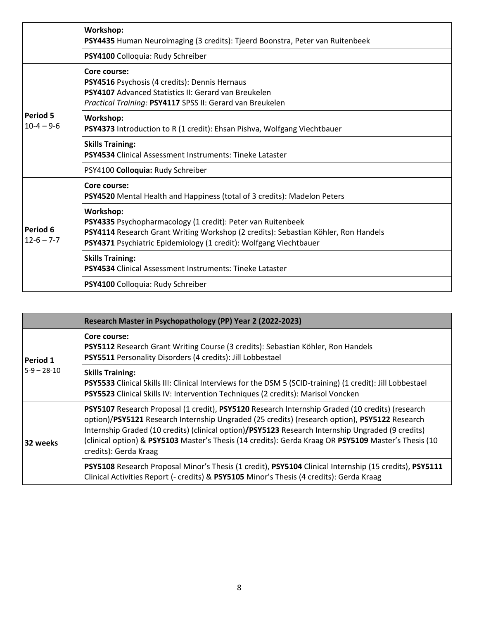|                                     | Workshop:<br>PSY4435 Human Neuroimaging (3 credits): Tjeerd Boonstra, Peter van Ruitenbeek                                                                                                                                          |
|-------------------------------------|-------------------------------------------------------------------------------------------------------------------------------------------------------------------------------------------------------------------------------------|
|                                     | PSY4100 Colloquia: Rudy Schreiber                                                                                                                                                                                                   |
| <b>Period 5</b><br>$10-4 - 9-6$     | Core course:<br>PSY4516 Psychosis (4 credits): Dennis Hernaus<br><b>PSY4107</b> Advanced Statistics II: Gerard van Breukelen<br>Practical Training: PSY4117 SPSS II: Gerard van Breukelen                                           |
|                                     | Workshop:<br>PSY4373 Introduction to R (1 credit): Ehsan Pishva, Wolfgang Viechtbauer                                                                                                                                               |
|                                     | <b>Skills Training:</b><br>PSY4534 Clinical Assessment Instruments: Tineke Lataster                                                                                                                                                 |
|                                     | PSY4100 Colloquia: Rudy Schreiber                                                                                                                                                                                                   |
| <b>Period 6</b><br>$12 - 6 - 7 - 7$ | Core course:<br>PSY4520 Mental Health and Happiness (total of 3 credits): Madelon Peters                                                                                                                                            |
|                                     | Workshop:<br>PSY4335 Psychopharmacology (1 credit): Peter van Ruitenbeek<br>PSY4114 Research Grant Writing Workshop (2 credits): Sebastian Köhler, Ron Handels<br>PSY4371 Psychiatric Epidemiology (1 credit): Wolfgang Viechtbauer |
|                                     | <b>Skills Training:</b><br><b>PSY4534</b> Clinical Assessment Instruments: Tineke Lataster                                                                                                                                          |
|                                     | PSY4100 Colloquia: Rudy Schreiber                                                                                                                                                                                                   |

|                           | Research Master in Psychopathology (PP) Year 2 (2022-2023)                                                                                                                                                                                                                                                                                                                                                                             |
|---------------------------|----------------------------------------------------------------------------------------------------------------------------------------------------------------------------------------------------------------------------------------------------------------------------------------------------------------------------------------------------------------------------------------------------------------------------------------|
| Period 1<br>$5-9 - 28-10$ | Core course:<br>PSY5112 Research Grant Writing Course (3 credits): Sebastian Köhler, Ron Handels<br>PSY5511 Personality Disorders (4 credits): Jill Lobbestael                                                                                                                                                                                                                                                                         |
|                           | <b>Skills Training:</b><br>PSY5533 Clinical Skills III: Clinical Interviews for the DSM 5 (SCID-training) (1 credit): Jill Lobbestael<br>PSY5523 Clinical Skills IV: Intervention Techniques (2 credits): Marisol Voncken                                                                                                                                                                                                              |
| 32 weeks                  | PSY5107 Research Proposal (1 credit), PSY5120 Research Internship Graded (10 credits) (research<br>option)/PSY5121 Research Internship Ungraded (25 credits) (research option), PSY5122 Research<br>Internship Graded (10 credits) (clinical option)/PSY5123 Research Internship Ungraded (9 credits)<br>(clinical option) & PSY5103 Master's Thesis (14 credits): Gerda Kraag OR PSY5109 Master's Thesis (10<br>credits): Gerda Kraag |
|                           | PSY5108 Research Proposal Minor's Thesis (1 credit), PSY5104 Clinical Internship (15 credits), PSY5111<br>Clinical Activities Report (- credits) & PSY5105 Minor's Thesis (4 credits): Gerda Kraag                                                                                                                                                                                                                                     |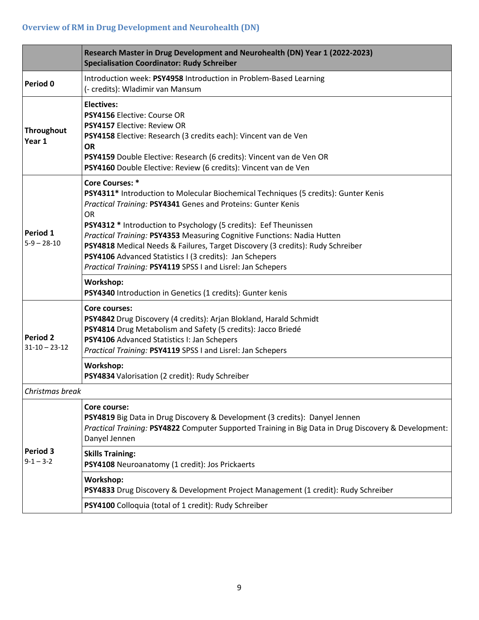|                                        | Research Master in Drug Development and Neurohealth (DN) Year 1 (2022-2023)<br><b>Specialisation Coordinator: Rudy Schreiber</b>                                                                                                                                                                                                                                                                                                                                                                                                                                   |  |
|----------------------------------------|--------------------------------------------------------------------------------------------------------------------------------------------------------------------------------------------------------------------------------------------------------------------------------------------------------------------------------------------------------------------------------------------------------------------------------------------------------------------------------------------------------------------------------------------------------------------|--|
| Period 0                               | Introduction week: PSY4958 Introduction in Problem-Based Learning<br>(- credits): Wladimir van Mansum                                                                                                                                                                                                                                                                                                                                                                                                                                                              |  |
| <b>Throughout</b><br>Year 1            | <b>Electives:</b><br>PSY4156 Elective: Course OR<br>PSY4157 Elective: Review OR<br>PSY4158 Elective: Research (3 credits each): Vincent van de Ven<br><b>OR</b><br>PSY4159 Double Elective: Research (6 credits): Vincent van de Ven OR<br>PSY4160 Double Elective: Review (6 credits): Vincent van de Ven                                                                                                                                                                                                                                                         |  |
| Period 1<br>$5-9 - 28-10$              | <b>Core Courses: *</b><br>PSY4311* Introduction to Molecular Biochemical Techniques (5 credits): Gunter Kenis<br>Practical Training: PSY4341 Genes and Proteins: Gunter Kenis<br><b>OR</b><br>PSY4312 * Introduction to Psychology (5 credits): Eef Theunissen<br>Practical Training: PSY4353 Measuring Cognitive Functions: Nadia Hutten<br>PSY4818 Medical Needs & Failures, Target Discovery (3 credits): Rudy Schreiber<br>PSY4106 Advanced Statistics I (3 credits): Jan Schepers<br>Practical Training: PSY4119 SPSS I and Lisrel: Jan Schepers<br>Workshop: |  |
|                                        | PSY4340 Introduction in Genetics (1 credits): Gunter kenis                                                                                                                                                                                                                                                                                                                                                                                                                                                                                                         |  |
| <b>Period 2</b><br>$31 - 10 - 23 - 12$ | <b>Core courses:</b><br>PSY4842 Drug Discovery (4 credits): Arjan Blokland, Harald Schmidt<br>PSY4814 Drug Metabolism and Safety (5 credits): Jacco Briedé<br>PSY4106 Advanced Statistics I: Jan Schepers<br>Practical Training: PSY4119 SPSS I and Lisrel: Jan Schepers                                                                                                                                                                                                                                                                                           |  |
|                                        | Workshop:<br>PSY4834 Valorisation (2 credit): Rudy Schreiber                                                                                                                                                                                                                                                                                                                                                                                                                                                                                                       |  |
| Christmas break                        |                                                                                                                                                                                                                                                                                                                                                                                                                                                                                                                                                                    |  |
| Period 3<br>$9 - 1 - 3 - 2$            | Core course:<br>PSY4819 Big Data in Drug Discovery & Development (3 credits): Danyel Jennen<br>Practical Training: PSY4822 Computer Supported Training in Big Data in Drug Discovery & Development:<br>Danyel Jennen                                                                                                                                                                                                                                                                                                                                               |  |
|                                        | <b>Skills Training:</b><br>PSY4108 Neuroanatomy (1 credit): Jos Prickaerts                                                                                                                                                                                                                                                                                                                                                                                                                                                                                         |  |
|                                        | Workshop:<br>PSY4833 Drug Discovery & Development Project Management (1 credit): Rudy Schreiber                                                                                                                                                                                                                                                                                                                                                                                                                                                                    |  |
|                                        | PSY4100 Colloquia (total of 1 credit): Rudy Schreiber                                                                                                                                                                                                                                                                                                                                                                                                                                                                                                              |  |